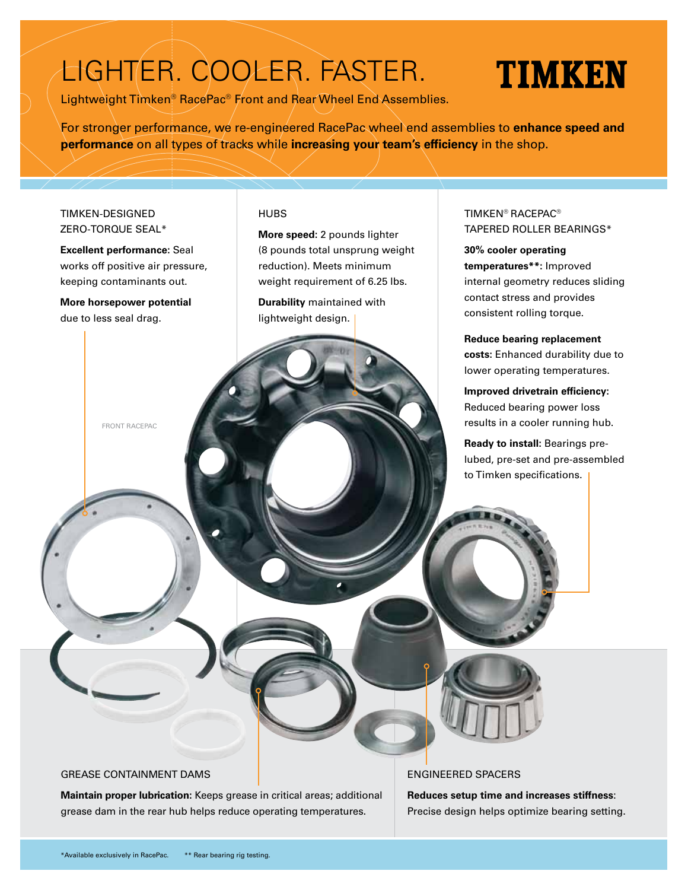## LIGHTER. COOLER. FASTER.

Lightweight Timken® RacePac® Front and Rear Wheel End Assemblies.

# TIMKEN

For stronger performance, we re-engineered RacePac wheel end assemblies to **enhance speed and performance** on all types of tracks while **increasing your team's efficiency** in the shop.

#### TIMKEN-DESIGNED ZERO-TORQUE SEAL\*

**Excellent performance:** Seal works off positive air pressure, keeping contaminants out.

**More horsepower potential** due to less seal drag.

FRONT RACEPAC

#### **HUBS**

**More speed:** 2 pounds lighter (8 pounds total unsprung weight reduction). Meets minimum weight requirement of 6.25 lbs.

**Durability** maintained with lightweight design.

### TIMKEN® RACEPAC® TAPERED ROLLER BEARINGS\*

**30% cooler operating temperatures\*\*:** Improved internal geometry reduces sliding contact stress and provides consistent rolling torque.

**Reduce bearing replacement costs:** Enhanced durability due to lower operating temperatures.

**Improved drivetrain efficiency:** Reduced bearing power loss results in a cooler running hub.

**Ready to install:** Bearings prelubed, pre-set and pre-assembled to Timken specifications.

#### GREASE CONTAINMENT DAMS

**Maintain proper lubrication:** Keeps grease in critical areas; additional grease dam in the rear hub helps reduce operating temperatures.

#### ENGINEERED SPACERS

**Reduces setup time and increases stiffness**: Precise design helps optimize bearing setting.